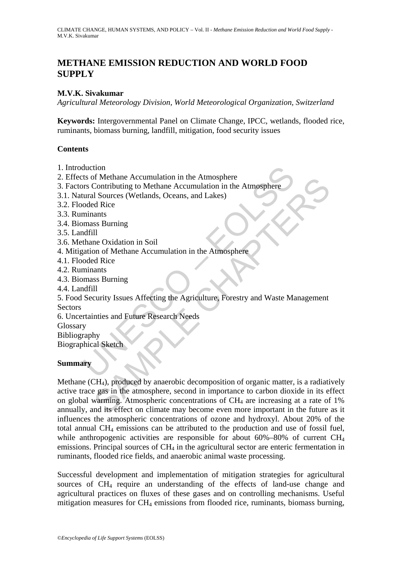# **METHANE EMISSION REDUCTION AND WORLD FOOD SUPPLY**

## **M.V.K. Sivakumar**

*Agricultural Meteorology Division, World Meteorological Organization, Switzerland* 

**Keywords:** Intergovernmental Panel on Climate Change, IPCC, wetlands, flooded rice, ruminants, biomass burning, landfill, mitigation, food security issues

### **Contents**

- 1. Introduction
- 2. Effects of Methane Accumulation in the Atmosphere
- 3. Factors Contributing to Methane Accumulation in the Atmosphere
- 3.1. Natural Sources (Wetlands, Oceans, and Lakes)
- 3.2. Flooded Rice
- 3.3. Ruminants
- 3.4. Biomass Burning
- 3.5. Landfill
- 3.6. Methane Oxidation in Soil
- 4. Mitigation of Methane Accumulation in the Atmosphere
- 4.1. Flooded Rice
- 4.2. Ruminants
- 4.3. Biomass Burning
- 4.4. Landfill
- duction<br>
st of Methane Accumulation in the Atmosphere<br>
st Contributing to Methane Accumulation in the Atmosphere<br>
oded Rice<br>
minants<br>
coded Rice<br>
minants<br>
mass Burning<br>
dufill<br>
ration of Methane Accumulation in the Atmosph 5. Food Security Issues Affecting the Agriculture, Forestry and Waste Management **Sectors**
- 6. Uncertainties and Future Research Needs
- Glossary
- Bibliography Biographical Sketch

### **Summary**

IN Metalahe Accumulation in the Atmosphere<br>
Alexandre Contributing to Methane Accumulation in the Atmosphere<br>
anats<br>
as Burning<br>
Il<br>
as Surning<br>
Il<br>
and Rice<br>
ants<br>
ss Burning<br>
Il<br>
d Rice<br>
ants<br>
ss Burning<br>
Il<br>
d Rice<br>
ant Methane (CH4), produced by anaerobic decomposition of organic matter, is a radiatively active trace gas in the atmosphere, second in importance to carbon dioxide in its effect on global warming. Atmospheric concentrations of  $CH<sub>4</sub>$  are increasing at a rate of 1% annually, and its effect on climate may become even more important in the future as it influences the atmospheric concentrations of ozone and hydroxyl. About 20% of the total annual CH4 emissions can be attributed to the production and use of fossil fuel, while anthropogenic activities are responsible for about  $60\% - 80\%$  of current CH<sub>4</sub> emissions. Principal sources of CH<sub>4</sub> in the agricultural sector are enteric fermentation in ruminants, flooded rice fields, and anaerobic animal waste processing.

Successful development and implementation of mitigation strategies for agricultural sources of  $CH<sub>4</sub>$  require an understanding of the effects of land-use change and agricultural practices on fluxes of these gases and on controlling mechanisms. Useful mitigation measures for CH4 emissions from flooded rice, ruminants, biomass burning,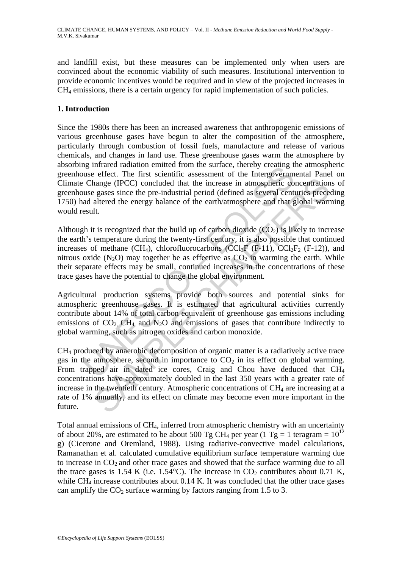and landfill exist, but these measures can be implemented only when users are convinced about the economic viability of such measures. Institutional intervention to provide economic incentives would be required and in view of the projected increases in CH4 emissions, there is a certain urgency for rapid implementation of such policies.

### **1. Introduction**

Since the 1980s there has been an increased awareness that anthropogenic emissions of various greenhouse gases have begun to alter the composition of the atmosphere, particularly through combustion of fossil fuels, manufacture and release of various chemicals, and changes in land use. These greenhouse gases warm the atmosphere by absorbing infrared radiation emitted from the surface, thereby creating the atmospheric greenhouse effect. The first scientific assessment of the Intergovernmental Panel on Climate Change (IPCC) concluded that the increase in atmospheric concentrations of greenhouse gases since the pre-industrial period (defined as several centuries preceding 1750) had altered the energy balance of the earth/atmosphere and that global warming would result.

in and an<br>and an initial contains in the surface interest increases was effect. The first scientific assessment of the Intergovernm<br>
using (IPCC) concluded that the increase in atmospheric compared compare and altered the Although it is recognized that the build up of carbon dioxide  $(CO<sub>2</sub>)$  is likely to increase the earth's temperature during the twenty-first century, it is also possible that continued increases of methane  $(CH_4)$ , chlorofluorocarbons  $(CCl_3F (F-11)$ ,  $CCl_2F_2 (F-12)$ , and nitrous oxide  $(N_2O)$  may together be as effective as  $CO_2$  in warming the earth. While their separate effects may be small, continued increases in the concentrations of these trace gases have the potential to change the global environment.

Agricultural production systems provide both sources and potential sinks for atmospheric greenhouse gases. It is estimated that agricultural activities currently contribute about 14% of total carbon equivalent of greenhouse gas emissions including emissions of  $CO<sub>2</sub>$ ,  $CH<sub>4</sub>$ , and  $N<sub>2</sub>O$  and emissions of gases that contribute indirectly to global warming, such as nitrogen oxides and carbon monoxide.

anage (IPCC) concluded that the increase in atmospheric concentration<br>anage (IPCC) concluded that the increase in atmospheric concentration<br>gases since the pre-industrial period (defined as several centuries prece<br>altered CH4 produced by anaerobic decomposition of organic matter is a radiatively active trace gas in the atmosphere, second in importance to  $CO<sub>2</sub>$  in its effect on global warming. From trapped air in dated ice cores, Craig and Chou have deduced that CH4 concentrations have approximately doubled in the last 350 years with a greater rate of increase in the twentieth century. Atmospheric concentrations of  $CH<sub>4</sub>$  are increasing at a rate of 1% annually, and its effect on climate may become even more important in the future.

Total annual emissions of CH4, inferred from atmospheric chemistry with an uncertainty of about 20%, are estimated to be about 500 Tg CH<sub>4</sub> per year (1 Tg = 1 teragram =  $10^{12}$ ) g) (Cicerone and Oremland, 1988). Using radiative-convective model calculations, Ramanathan et al. calculated cumulative equilibrium surface temperature warming due to increase in  $CO<sub>2</sub>$  and other trace gases and showed that the surface warming due to all the trace gases is 1.54 K (i.e. 1.54 °C). The increase in  $CO_2$  contributes about 0.71 K, while  $CH_4$  increase contributes about 0.14 K. It was concluded that the other trace gases can amplify the  $CO<sub>2</sub>$  surface warming by factors ranging from 1.5 to 3.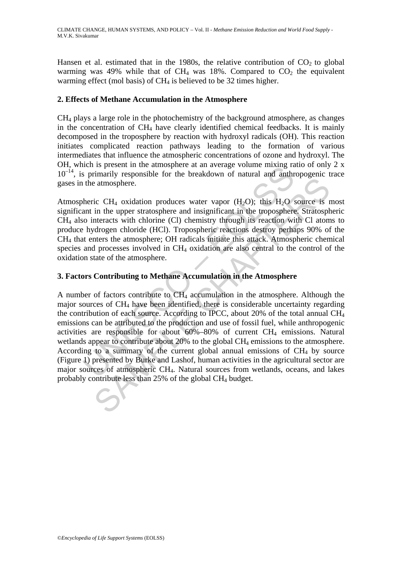Hansen et al. estimated that in the 1980s, the relative contribution of  $CO<sub>2</sub>$  to global warming was 49% while that of CH<sub>4</sub> was 18%. Compared to  $CO<sub>2</sub>$  the equivalent warming effect (mol basis) of  $CH<sub>4</sub>$  is believed to be 32 times higher.

#### **2. Effects of Methane Accumulation in the Atmosphere**

CH4 plays a large role in the photochemistry of the background atmosphere, as changes in the concentration of CH4 have clearly identified chemical feedbacks. It is mainly decomposed in the troposphere by reaction with hydroxyl radicals (OH). This reaction initiates complicated reaction pathways leading to the formation of various intermediates that influence the atmospheric concentrations of ozone and hydroxyl. The OH, which is present in the atmosphere at an average volume mixing ratio of only 2 x  $10^{-14}$ , is primarily responsible for the breakdown of natural and anthropogenic trace gases in the atmosphere.

Atmospheric CH<sub>4</sub> oxidation produces water vapor  $(H_2O)$ ; this  $H_2O$  source is most significant in the upper stratosphere and insignificant in the troposphere. Stratospheric CH4 also interacts with chlorine (Cl) chemistry through its reaction with Cl atoms to produce hydrogen chloride (HCl). Tropospheric reactions destroy perhaps 90% of the CH4 that enters the atmosphere; OH radicals initiate this attack. Atmospheric chemical species and processes involved in CH<sub>4</sub> oxidation are also central to the control of the oxidation state of the atmosphere.

### **3. Factors Contributing to Methane Accumulation in the Atmosphere**

notice is primarily responsible for the breakdown of natural and anthr<br>
the atmosphere.<br>
theric CH<sub>4</sub> oxidation produces water vapor (H<sub>2</sub>O); this H<sub>2</sub>O s<br>
ant in the upper stratosphere and insignificant in the tropospher is entirely<br>as a atmosphere.<br>
ic CH<sub>4</sub> oxidation produces water vapor (H<sub>2</sub>O); this H<sub>2</sub>O source is r<br>
in the upper stratosphere and insignificant in the troposphere. Stratosph<br>
interacts with chlorine (Cl) chemistry thro A number of factors contribute to CH4 accumulation in the atmosphere. Although the major sources of CH4 have been identified, there is considerable uncertainty regarding the contribution of each source. According to IPCC, about 20% of the total annual CH4 emissions can be attributed to the production and use of fossil fuel, while anthropogenic activities are responsible for about  $60\% - 80\%$  of current CH<sub>4</sub> emissions. Natural wetlands appear to contribute about 20% to the global CH<sub>4</sub> emissions to the atmosphere. According to a summary of the current global annual emissions of  $CH<sub>4</sub>$  by source (Figure 1) presented by Burke and Lashof, human activities in the agricultural sector are major sources of atmospheric CH4. Natural sources from wetlands, oceans, and lakes probably contribute less than 25% of the global CH4 budget.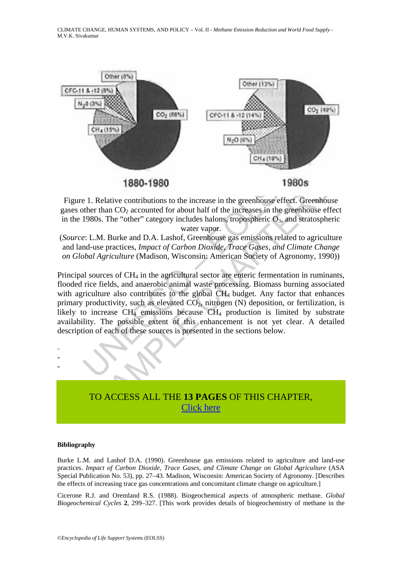CLIMATE CHANGE, HUMAN SYSTEMS, AND POLICY – Vol. II - *Methane Emission Reduction and World Food Supply* - M.V.K. Sivakumar



Figure 1. Relative contributions to the increase in the greenhouse effect. Greenhouse gases other than  $CO<sub>2</sub>$  accounted for about half of the increases in the greenhouse effect in the 1980s. The "other" category includes halons, tropospheric  $O_3$ , and stratospheric water vapor.

(*Source*: L.M. Burke and D.A. Lashof, Greenhouse gas emissions related to agriculture and land-use practices, *Impact of Carbon Dioxide, Trace Gases, and Climate Change on Global Agriculture* (Madison, Wisconsin: American Society of Agronomy, 1990))

1880-1980<br>1980 – 1980 – 1980 – 1980 – 1980 – 1980 – 1980 – 1980 e 1. Relative contributions to the increase in the greenhouse effect<br>ther than CO<sub>2</sub> accounted for about half of the increases in the gree<br>1980s. The "other" **1980S**<br>
1980S<br>
Relative contributions to the increase in the greenhouse effect. Greenhouse<br>
or than CO<sub>2</sub> accounted for about half of the increases in the greenhouse effect.<br>
SUCS The "other" category includes halons, tr Principal sources of  $CH_4$  in the agricultural sector are enteric fermentation in ruminants, flooded rice fields, and anaerobic animal waste processing. Biomass burning associated with agriculture also contributes to the global CH<sub>4</sub> budget. Any factor that enhances primary productivity, such as elevated  $CO<sub>2</sub>$ , nitrogen (N) deposition, or fertilization, is likely to increase  $CH_4$  emissions because  $CH_4$  production is limited by substrate availability. The possible extent of this enhancement is not yet clear. A detailed description of each of these sources is presented in the sections below.



#### **Bibliography**

- - -

Burke L.M. and Lashof D.A. (1990). Greenhouse gas emissions related to agriculture and land-use practices. *Impact of Carbon Dioxide, Trace Gases, and Climate Change on Global Agriculture* (ASA Special Publication No. 53), pp. 27–43. Madison, Wisconsin: American Society of Agronomy. [Describes the effects of increasing trace gas concentrations and concomitant climate change on agriculture.]

Cicerone R.J. and Oremland R.S. (1988). Biogeochemical aspects of atmospheric methane. *Global Biogeochemical Cycles* **2**, 299–327. [This work provides details of biogeochemistry of methane in the